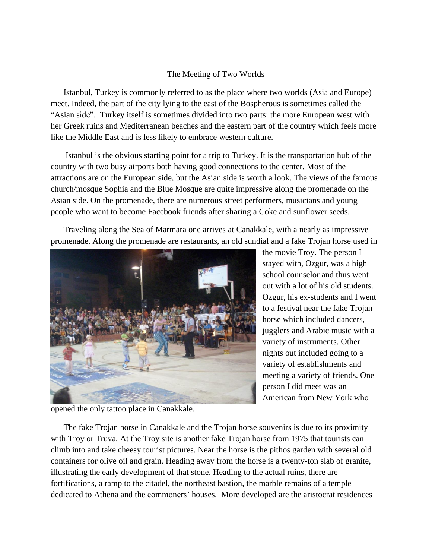## The Meeting of Two Worlds

Istanbul, Turkey is commonly referred to as the place where two worlds (Asia and Europe) meet. Indeed, the part of the city lying to the east of the Bospherous is sometimes called the "Asian side". Turkey itself is sometimes divided into two parts: the more European west with her Greek ruins and Mediterranean beaches and the eastern part of the country which feels more like the Middle East and is less likely to embrace western culture.

Istanbul is the obvious starting point for a trip to Turkey. It is the transportation hub of the country with two busy airports both having good connections to the center. Most of the attractions are on the European side, but the Asian side is worth a look. The views of the famous church/mosque Sophia and the Blue Mosque are quite impressive along the promenade on the Asian side. On the promenade, there are numerous street performers, musicians and young people who want to become Facebook friends after sharing a Coke and sunflower seeds.

Traveling along the Sea of Marmara one arrives at Canakkale, with a nearly as impressive promenade. Along the promenade are restaurants, an old sundial and a fake Trojan horse used in



the movie Troy. The person I stayed with, Ozgur, was a high school counselor and thus went out with a lot of his old students. Ozgur, his ex-students and I went to a festival near the fake Trojan horse which included dancers, jugglers and Arabic music with a variety of instruments. Other nights out included going to a variety of establishments and meeting a variety of friends. One person I did meet was an American from New York who

opened the only tattoo place in Canakkale.

The fake Trojan horse in Canakkale and the Trojan horse souvenirs is due to its proximity with Troy or Truva. At the Troy site is another fake Trojan horse from 1975 that tourists can climb into and take cheesy tourist pictures. Near the horse is the pithos garden with several old containers for olive oil and grain. Heading away from the horse is a twenty-ton slab of granite, illustrating the early development of that stone. Heading to the actual ruins, there are fortifications, a ramp to the citadel, the northeast bastion, the marble remains of a temple dedicated to Athena and the commoners' houses. More developed are the aristocrat residences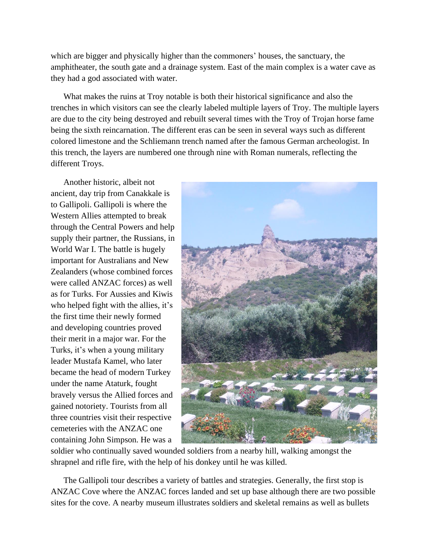which are bigger and physically higher than the commoners' houses, the sanctuary, the amphitheater, the south gate and a drainage system. East of the main complex is a water cave as they had a god associated with water.

What makes the ruins at Troy notable is both their historical significance and also the trenches in which visitors can see the clearly labeled multiple layers of Troy. The multiple layers are due to the city being destroyed and rebuilt several times with the Troy of Trojan horse fame being the sixth reincarnation. The different eras can be seen in several ways such as different colored limestone and the Schliemann trench named after the famous German archeologist. In this trench, the layers are numbered one through nine with Roman numerals, reflecting the different Troys.

Another historic, albeit not ancient, day trip from Canakkale is to Gallipoli. Gallipoli is where the Western Allies attempted to break through the Central Powers and help supply their partner, the Russians, in World War I. The battle is hugely important for Australians and New Zealanders (whose combined forces were called ANZAC forces) as well as for Turks. For Aussies and Kiwis who helped fight with the allies, it's the first time their newly formed and developing countries proved their merit in a major war. For the Turks, it's when a young military leader Mustafa Kamel, who later became the head of modern Turkey under the name Ataturk, fought bravely versus the Allied forces and gained notoriety. Tourists from all three countries visit their respective cemeteries with the ANZAC one containing John Simpson. He was a



soldier who continually saved wounded soldiers from a nearby hill, walking amongst the shrapnel and rifle fire, with the help of his donkey until he was killed.

The Gallipoli tour describes a variety of battles and strategies. Generally, the first stop is ANZAC Cove where the ANZAC forces landed and set up base although there are two possible sites for the cove. A nearby museum illustrates soldiers and skeletal remains as well as bullets